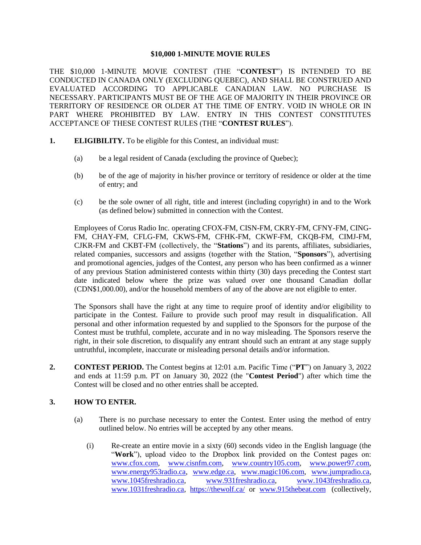### **\$10,000 1-MINUTE MOVIE RULES**

THE \$10,000 1-MINUTE MOVIE CONTEST (THE "**CONTEST**") IS INTENDED TO BE CONDUCTED IN CANADA ONLY (EXCLUDING QUEBEC), AND SHALL BE CONSTRUED AND EVALUATED ACCORDING TO APPLICABLE CANADIAN LAW. NO PURCHASE IS NECESSARY. PARTICIPANTS MUST BE OF THE AGE OF MAJORITY IN THEIR PROVINCE OR TERRITORY OF RESIDENCE OR OLDER AT THE TIME OF ENTRY. VOID IN WHOLE OR IN PART WHERE PROHIBITED BY LAW. ENTRY IN THIS CONTEST CONSTITUTES ACCEPTANCE OF THESE CONTEST RULES (THE "**CONTEST RULES**").

- **1. ELIGIBILITY.** To be eligible for this Contest, an individual must:
	- (a) be a legal resident of Canada (excluding the province of Quebec);
	- (b) be of the age of majority in his/her province or territory of residence or older at the time of entry; and
	- (c) be the sole owner of all right, title and interest (including copyright) in and to the Work (as defined below) submitted in connection with the Contest.

Employees of Corus Radio Inc. operating CFOX-FM, CISN-FM, CKRY-FM, CFNY-FM, CING-FM, CHAY-FM, CFLG-FM, CKWS-FM, CFHK-FM, CKWF-FM, CKQB-FM, CIMJ-FM, CJKR-FM and CKBT-FM (collectively, the "**Stations**") and its parents, affiliates, subsidiaries, related companies, successors and assigns (together with the Station, "**Sponsors**"), advertising and promotional agencies, judges of the Contest, any person who has been confirmed as a winner of any previous Station administered contests within thirty (30) days preceding the Contest start date indicated below where the prize was valued over one thousand Canadian dollar (CDN\$1,000.00), and/or the household members of any of the above are not eligible to enter.

The Sponsors shall have the right at any time to require proof of identity and/or eligibility to participate in the Contest. Failure to provide such proof may result in disqualification. All personal and other information requested by and supplied to the Sponsors for the purpose of the Contest must be truthful, complete, accurate and in no way misleading. The Sponsors reserve the right, in their sole discretion, to disqualify any entrant should such an entrant at any stage supply untruthful, incomplete, inaccurate or misleading personal details and/or information.

**2. CONTEST PERIOD.** The Contest begins at 12:01 a.m. Pacific Time ("**PT**") on January 3, 2022 and ends at 11:59 p.m. PT on January 30, 2022 (the "**Contest Period**") after which time the Contest will be closed and no other entries shall be accepted.

## **3. HOW TO ENTER.**

- (a) There is no purchase necessary to enter the Contest. Enter using the method of entry outlined below. No entries will be accepted by any other means.
	- (i) Re-create an entire movie in a sixty (60) seconds video in the English language (the "**Work**"), upload video to the Dropbox link provided on the Contest pages on: [www.cfox.com,](http://www.cfox.com/) [www.cisnfm.com,](http://www.cisnfm.com/) [www.country105.com,](http://www.country105.com/) [www.power97.com,](http://www.power97.com/) [www.energy953radio.ca,](http://www.energy953radio.ca/) [www.edge.ca,](http://www.edge.ca/) [www.magic106.com,](http://www.magic106.com/) [www.jumpradio.ca,](http://www.jumpradio.ca/) [www.1045freshradio.ca,](http://www.1045freshradio.ca/) [www.931freshradio.ca,](http://www.931freshradio.ca/) [www.1043freshradio.ca,](http://www.1043freshradio.ca/) [www.1031freshradio.ca,](http://www.1031freshradio.ca/) <https://thewolf.ca/> or [www.915thebeat.com](http://www.915thebeat.com/) (collectively,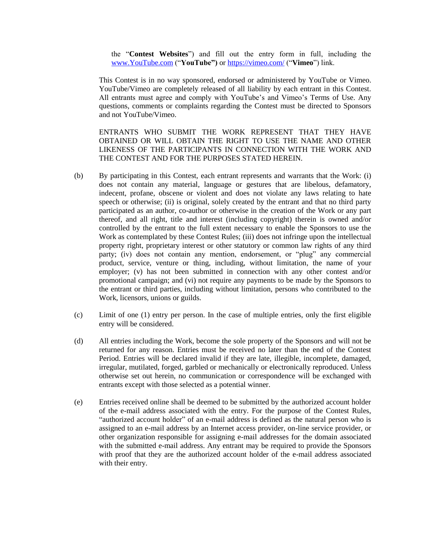the "**Contest Websites**") and fill out the entry form in full, including the [www.YouTube.com](http://www.youtube.com/) ("**YouTube")** or<https://vimeo.com/> ("**Vimeo**") link.

This Contest is in no way sponsored, endorsed or administered by YouTube or Vimeo. YouTube/Vimeo are completely released of all liability by each entrant in this Contest. All entrants must agree and comply with YouTube's and Vimeo's Terms of Use. Any questions, comments or complaints regarding the Contest must be directed to Sponsors and not YouTube/Vimeo.

ENTRANTS WHO SUBMIT THE WORK REPRESENT THAT THEY HAVE OBTAINED OR WILL OBTAIN THE RIGHT TO USE THE NAME AND OTHER LIKENESS OF THE PARTICIPANTS IN CONNECTION WITH THE WORK AND THE CONTEST AND FOR THE PURPOSES STATED HEREIN.

- (b) By participating in this Contest, each entrant represents and warrants that the Work: (i) does not contain any material, language or gestures that are libelous, defamatory, indecent, profane, obscene or violent and does not violate any laws relating to hate speech or otherwise; (ii) is original, solely created by the entrant and that no third party participated as an author, co-author or otherwise in the creation of the Work or any part thereof, and all right, title and interest (including copyright) therein is owned and/or controlled by the entrant to the full extent necessary to enable the Sponsors to use the Work as contemplated by these Contest Rules; (iii) does not infringe upon the intellectual property right, proprietary interest or other statutory or common law rights of any third party; (iv) does not contain any mention, endorsement, or "plug" any commercial product, service, venture or thing, including, without limitation, the name of your employer; (v) has not been submitted in connection with any other contest and/or promotional campaign; and (vi) not require any payments to be made by the Sponsors to the entrant or third parties, including without limitation, persons who contributed to the Work, licensors, unions or guilds.
- (c) Limit of one (1) entry per person. In the case of multiple entries, only the first eligible entry will be considered.
- (d) All entries including the Work, become the sole property of the Sponsors and will not be returned for any reason. Entries must be received no later than the end of the Contest Period. Entries will be declared invalid if they are late, illegible, incomplete, damaged, irregular, mutilated, forged, garbled or mechanically or electronically reproduced. Unless otherwise set out herein, no communication or correspondence will be exchanged with entrants except with those selected as a potential winner.
- (e) Entries received online shall be deemed to be submitted by the authorized account holder of the e-mail address associated with the entry. For the purpose of the Contest Rules, "authorized account holder" of an e-mail address is defined as the natural person who is assigned to an e-mail address by an Internet access provider, on-line service provider, or other organization responsible for assigning e-mail addresses for the domain associated with the submitted e-mail address. Any entrant may be required to provide the Sponsors with proof that they are the authorized account holder of the e-mail address associated with their entry.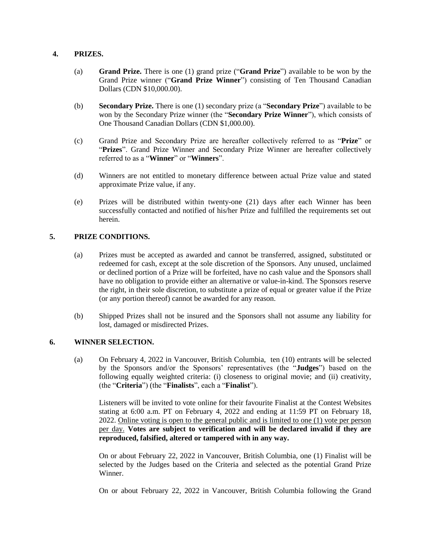## **4. PRIZES.**

- (a) **Grand Prize.** There is one (1) grand prize ("**Grand Prize**") available to be won by the Grand Prize winner ("**Grand Prize Winner**") consisting of Ten Thousand Canadian Dollars (CDN \$10,000.00).
- (b) **Secondary Prize.** There is one (1) secondary prize (a "**Secondary Prize**") available to be won by the Secondary Prize winner (the "**Secondary Prize Winner**"), which consists of One Thousand Canadian Dollars (CDN \$1,000.00).
- (c) Grand Prize and Secondary Prize are hereafter collectively referred to as "**Prize**" or "**Prizes**". Grand Prize Winner and Secondary Prize Winner are hereafter collectively referred to as a "**Winner**" or "**Winners**".
- (d) Winners are not entitled to monetary difference between actual Prize value and stated approximate Prize value, if any.
- (e) Prizes will be distributed within twenty-one (21) days after each Winner has been successfully contacted and notified of his/her Prize and fulfilled the requirements set out herein.

# **5. PRIZE CONDITIONS.**

- (a) Prizes must be accepted as awarded and cannot be transferred, assigned, substituted or redeemed for cash, except at the sole discretion of the Sponsors. Any unused, unclaimed or declined portion of a Prize will be forfeited, have no cash value and the Sponsors shall have no obligation to provide either an alternative or value-in-kind. The Sponsors reserve the right, in their sole discretion, to substitute a prize of equal or greater value if the Prize (or any portion thereof) cannot be awarded for any reason.
- (b) Shipped Prizes shall not be insured and the Sponsors shall not assume any liability for lost, damaged or misdirected Prizes.

# **6. WINNER SELECTION.**

(a) On February 4, 2022 in Vancouver, British Columbia, ten (10) entrants will be selected by the Sponsors and/or the Sponsors' representatives (the "**Judges**") based on the following equally weighted criteria: (i) closeness to original movie; and (ii) creativity, (the "**Criteria**") (the "**Finalists**", each a "**Finalist**").

Listeners will be invited to vote online for their favourite Finalist at the Contest Websites stating at 6:00 a.m. PT on February 4, 2022 and ending at 11:59 PT on February 18, 2022. Online voting is open to the general public and is limited to one (1) vote per person per day. **Votes are subject to verification and will be declared invalid if they are reproduced, falsified, altered or tampered with in any way.**

On or about February 22, 2022 in Vancouver, British Columbia, one (1) Finalist will be selected by the Judges based on the Criteria and selected as the potential Grand Prize Winner.

On or about February 22, 2022 in Vancouver, British Columbia following the Grand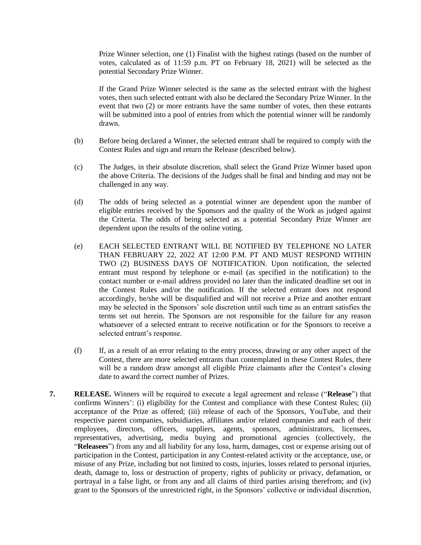Prize Winner selection, one (1) Finalist with the highest ratings (based on the number of votes, calculated as of 11:59 p.m. PT on February 18, 2021) will be selected as the potential Secondary Prize Winner.

If the Grand Prize Winner selected is the same as the selected entrant with the highest votes, then such selected entrant with also be declared the Secondary Prize Winner. In the event that two (2) or more entrants have the same number of votes, then these entrants will be submitted into a pool of entries from which the potential winner will be randomly drawn.

- (b) Before being declared a Winner, the selected entrant shall be required to comply with the Contest Rules and sign and return the Release (described below).
- (c) The Judges, in their absolute discretion, shall select the Grand Prize Winner based upon the above Criteria. The decisions of the Judges shall be final and binding and may not be challenged in any way.
- (d) The odds of being selected as a potential winner are dependent upon the number of eligible entries received by the Sponsors and the quality of the Work as judged against the Criteria. The odds of being selected as a potential Secondary Prize Winner are dependent upon the results of the online voting.
- (e) EACH SELECTED ENTRANT WILL BE NOTIFIED BY TELEPHONE NO LATER THAN FEBRUARY 22, 2022 AT 12:00 P.M. PT AND MUST RESPOND WITHIN TWO (2) BUSINESS DAYS OF NOTIFICATION. Upon notification, the selected entrant must respond by telephone or e-mail (as specified in the notification) to the contact number or e-mail address provided no later than the indicated deadline set out in the Contest Rules and/or the notification. If the selected entrant does not respond accordingly, he/she will be disqualified and will not receive a Prize and another entrant may be selected in the Sponsors' sole discretion until such time as an entrant satisfies the terms set out herein. The Sponsors are not responsible for the failure for any reason whatsoever of a selected entrant to receive notification or for the Sponsors to receive a selected entrant's response.
- (f) If, as a result of an error relating to the entry process, drawing or any other aspect of the Contest, there are more selected entrants than contemplated in these Contest Rules, there will be a random draw amongst all eligible Prize claimants after the Contest's closing date to award the correct number of Prizes.
- **7. RELEASE.** Winners will be required to execute a legal agreement and release ("**Release**") that confirms Winners': (i) eligibility for the Contest and compliance with these Contest Rules; (ii) acceptance of the Prize as offered; (iii) release of each of the Sponsors, YouTube, and their respective parent companies, subsidiaries, affiliates and/or related companies and each of their employees, directors, officers, suppliers, agents, sponsors, administrators, licensees, representatives, advertising, media buying and promotional agencies (collectively, the "**Releasees**") from any and all liability for any loss, harm, damages, cost or expense arising out of participation in the Contest, participation in any Contest-related activity or the acceptance, use, or misuse of any Prize, including but not limited to costs, injuries, losses related to personal injuries, death, damage to, loss or destruction of property, rights of publicity or privacy, defamation, or portrayal in a false light, or from any and all claims of third parties arising therefrom; and (iv) grant to the Sponsors of the unrestricted right, in the Sponsors' collective or individual discretion,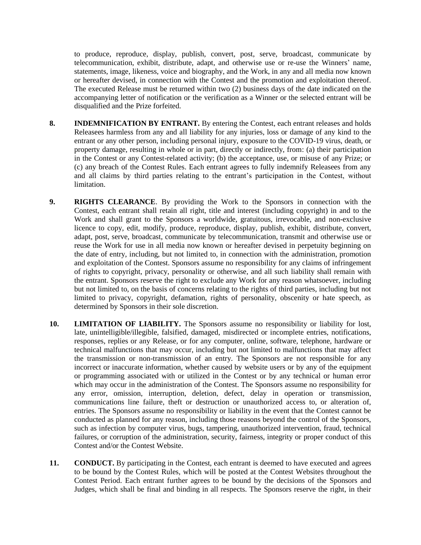to produce, reproduce, display, publish, convert, post, serve, broadcast, communicate by telecommunication, exhibit, distribute, adapt, and otherwise use or re-use the Winners' name, statements, image, likeness, voice and biography, and the Work, in any and all media now known or hereafter devised, in connection with the Contest and the promotion and exploitation thereof. The executed Release must be returned within two (2) business days of the date indicated on the accompanying letter of notification or the verification as a Winner or the selected entrant will be disqualified and the Prize forfeited.

- **8. INDEMNIFICATION BY ENTRANT.** By entering the Contest, each entrant releases and holds Releasees harmless from any and all liability for any injuries, loss or damage of any kind to the entrant or any other person, including personal injury, exposure to the COVID-19 virus, death, or property damage, resulting in whole or in part, directly or indirectly, from: (a) their participation in the Contest or any Contest-related activity; (b) the acceptance, use, or misuse of any Prize; or (c) any breach of the Contest Rules. Each entrant agrees to fully indemnify Releasees from any and all claims by third parties relating to the entrant's participation in the Contest, without limitation.
- **9. RIGHTS CLEARANCE**. By providing the Work to the Sponsors in connection with the Contest, each entrant shall retain all right, title and interest (including copyright) in and to the Work and shall grant to the Sponsors a worldwide, gratuitous, irrevocable, and non-exclusive licence to copy, edit, modify, produce, reproduce, display, publish, exhibit, distribute, convert, adapt, post, serve, broadcast, communicate by telecommunication, transmit and otherwise use or reuse the Work for use in all media now known or hereafter devised in perpetuity beginning on the date of entry, including, but not limited to, in connection with the administration, promotion and exploitation of the Contest. Sponsors assume no responsibility for any claims of infringement of rights to copyright, privacy, personality or otherwise, and all such liability shall remain with the entrant. Sponsors reserve the right to exclude any Work for any reason whatsoever, including but not limited to, on the basis of concerns relating to the rights of third parties, including but not limited to privacy, copyright, defamation, rights of personality, obscenity or hate speech, as determined by Sponsors in their sole discretion.
- **10. LIMITATION OF LIABILITY.** The Sponsors assume no responsibility or liability for lost, late, unintelligible/illegible, falsified, damaged, misdirected or incomplete entries, notifications, responses, replies or any Release, or for any computer, online, software, telephone, hardware or technical malfunctions that may occur, including but not limited to malfunctions that may affect the transmission or non-transmission of an entry. The Sponsors are not responsible for any incorrect or inaccurate information, whether caused by website users or by any of the equipment or programming associated with or utilized in the Contest or by any technical or human error which may occur in the administration of the Contest. The Sponsors assume no responsibility for any error, omission, interruption, deletion, defect, delay in operation or transmission, communications line failure, theft or destruction or unauthorized access to, or alteration of, entries. The Sponsors assume no responsibility or liability in the event that the Contest cannot be conducted as planned for any reason, including those reasons beyond the control of the Sponsors, such as infection by computer virus, bugs, tampering, unauthorized intervention, fraud, technical failures, or corruption of the administration, security, fairness, integrity or proper conduct of this Contest and/or the Contest Website.
- **11. CONDUCT.** By participating in the Contest, each entrant is deemed to have executed and agrees to be bound by the Contest Rules, which will be posted at the Contest Websites throughout the Contest Period. Each entrant further agrees to be bound by the decisions of the Sponsors and Judges, which shall be final and binding in all respects. The Sponsors reserve the right, in their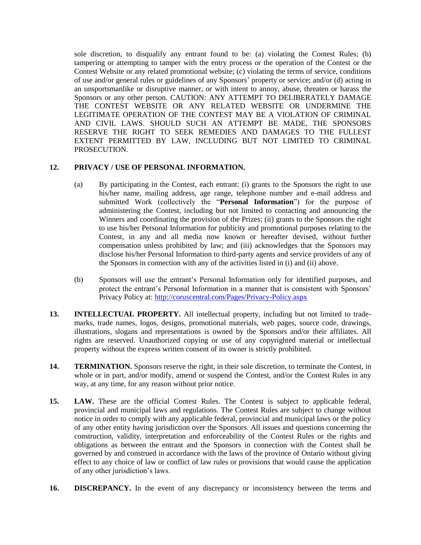sole discretion, to disqualify any entrant found to be: (a) violating the Contest Rules; (b) tampering or attempting to tamper with the entry process or the operation of the Contest or the Contest Website or any related promotional website; (c) violating the terms of service, conditions of use and/or general rules or guidelines of any Sponsors' property or service; and/or (d) acting in an unsportsmanlike or disruptive manner, or with intent to annoy, abuse, threaten or harass the Sponsors or any other person. CAUTION: ANY ATTEMPT TO DELIBERATELY DAMAGE THE CONTEST WEBSITE OR ANY RELATED WEBSITE OR UNDERMINE THE LEGITIMATE OPERATION OF THE CONTEST MAY BE A VIOLATION OF CRIMINAL AND CIVIL LAWS. SHOULD SUCH AN ATTEMPT BE MADE, THE SPONSORS RESERVE THE RIGHT TO SEEK REMEDIES AND DAMAGES TO THE FULLEST EXTENT PERMITTED BY LAW, INCLUDING BUT NOT LIMITED TO CRIMINAL PROSECUTION.

## **12. PRIVACY / USE OF PERSONAL INFORMATION.**

- (a) By participating in the Contest, each entrant: (i) grants to the Sponsors the right to use his/her name, mailing address, age range, telephone number and e-mail address and submitted Work (collectively the "**Personal Information**") for the purpose of administering the Contest, including but not limited to contacting and announcing the Winners and coordinating the provision of the Prizes; (ii) grants to the Sponsors the right to use his/her Personal Information for publicity and promotional purposes relating to the Contest, in any and all media now known or hereafter devised, without further compensation unless prohibited by law; and (iii) acknowledges that the Sponsors may disclose his/her Personal Information to third-party agents and service providers of any of the Sponsors in connection with any of the activities listed in (i) and (ii) above.
- (b) Sponsors will use the entrant's Personal Information only for identified purposes, and protect the entrant's Personal Information in a manner that is consistent with Sponsors' Privacy Policy at: <http://coruscentral.com/Pages/Privacy-Policy.aspx>
- **13. INTELLECTUAL PROPERTY.** All intellectual property, including but not limited to trademarks, trade names, logos, designs, promotional materials, web pages, source code, drawings, illustrations, slogans and representations is owned by the Sponsors and/or their affiliates. All rights are reserved. Unauthorized copying or use of any copyrighted material or intellectual property without the express written consent of its owner is strictly prohibited.
- **14. TERMINATION.** Sponsors reserve the right, in their sole discretion, to terminate the Contest, in whole or in part, and/or modify, amend or suspend the Contest, and/or the Contest Rules in any way, at any time, for any reason without prior notice.
- **15. LAW.** These are the official Contest Rules. The Contest is subject to applicable federal, provincial and municipal laws and regulations. The Contest Rules are subject to change without notice in order to comply with any applicable federal, provincial and municipal laws or the policy of any other entity having jurisdiction over the Sponsors. All issues and questions concerning the construction, validity, interpretation and enforceability of the Contest Rules or the rights and obligations as between the entrant and the Sponsors in connection with the Contest shall be governed by and construed in accordance with the laws of the province of Ontario without giving effect to any choice of law or conflict of law rules or provisions that would cause the application of any other jurisdiction's laws.
- 16. **DISCREPANCY.** In the event of any discrepancy or inconsistency between the terms and